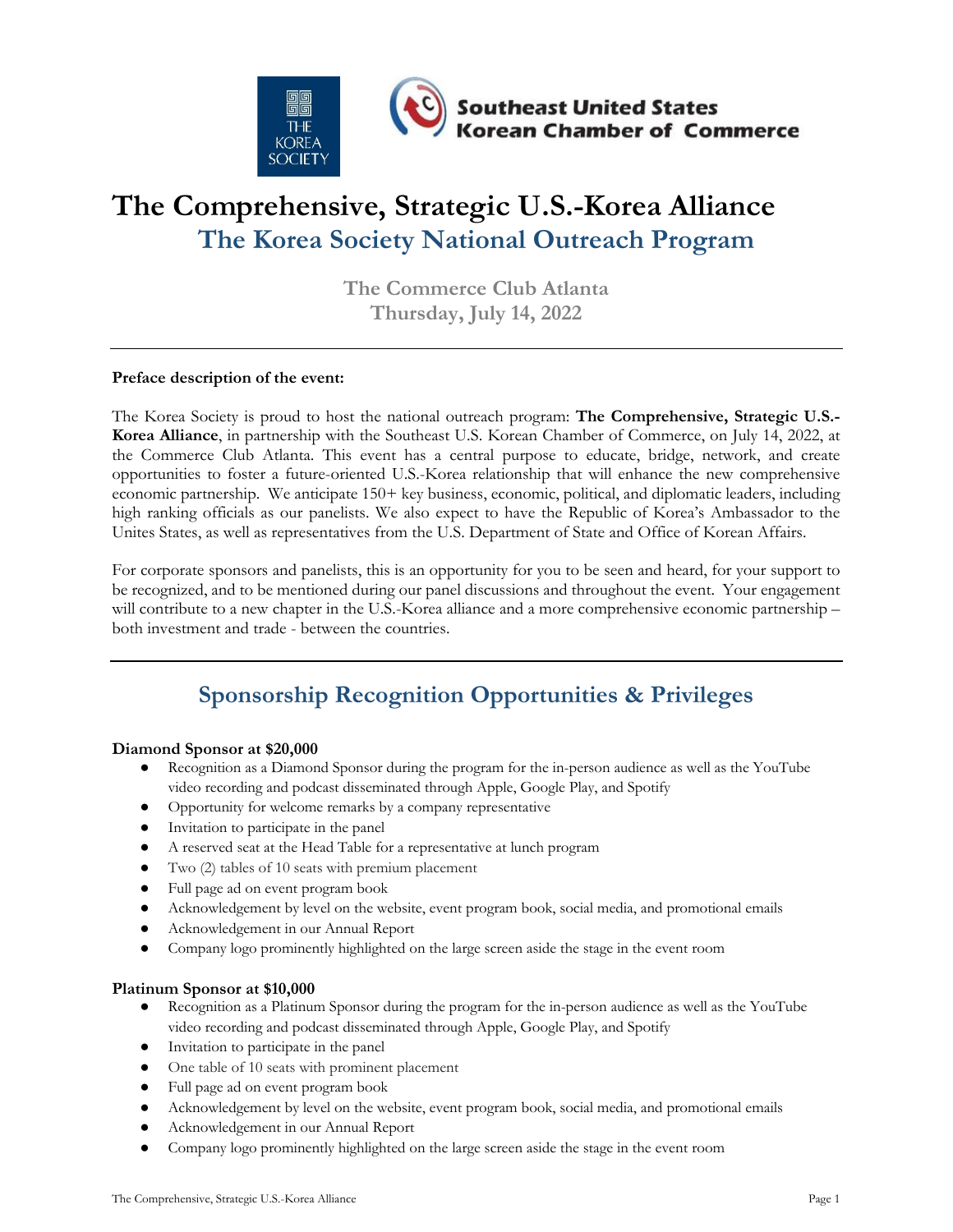

# **The Comprehensive, Strategic U.S.-Korea Alliance The Korea Society National Outreach Program**

**The Commerce Club Atlanta Thursday, July 14, 2022**

#### **Preface description of the event:**

The Korea Society is proud to host the national outreach program: **The Comprehensive, Strategic U.S.- Korea Alliance**, in partnership with the Southeast U.S. Korean Chamber of Commerce, on July 14, 2022, at the Commerce Club Atlanta. This event has a central purpose to educate, bridge, network, and create opportunities to foster a future-oriented U.S.-Korea relationship that will enhance the new comprehensive economic partnership. We anticipate 150+ key business, economic, political, and diplomatic leaders, including high ranking officials as our panelists. We also expect to have the Republic of Korea's Ambassador to the Unites States, as well as representatives from the U.S. Department of State and Office of Korean Affairs.

For corporate sponsors and panelists, this is an opportunity for you to be seen and heard, for your support to be recognized, and to be mentioned during our panel discussions and throughout the event. Your engagement will contribute to a new chapter in the U.S.-Korea alliance and a more comprehensive economic partnership – both investment and trade - between the countries.

## **Sponsorship Recognition Opportunities & Privileges**

#### **Diamond Sponsor at \$20,000**

- Recognition as a Diamond Sponsor during the program for the in-person audience as well as the YouTube video recording and podcast disseminated through Apple, Google Play, and Spotify
- Opportunity for welcome remarks by a company representative
- Invitation to participate in the panel
- A reserved seat at the Head Table for a representative at lunch program
- Two (2) tables of 10 seats with premium placement
- Full page ad on event program book
- Acknowledgement by level on the website, event program book, social media, and promotional emails
- Acknowledgement in our Annual Report
- Company logo prominently highlighted on the large screen aside the stage in the event room

#### **Platinum Sponsor at \$10,000**

- Recognition as a Platinum Sponsor during the program for the in-person audience as well as the YouTube video recording and podcast disseminated through Apple, Google Play, and Spotify
- Invitation to participate in the panel
- One table of 10 seats with prominent placement
- Full page ad on event program book
- Acknowledgement by level on the website, event program book, social media, and promotional emails
- Acknowledgement in our Annual Report
- Company logo prominently highlighted on the large screen aside the stage in the event room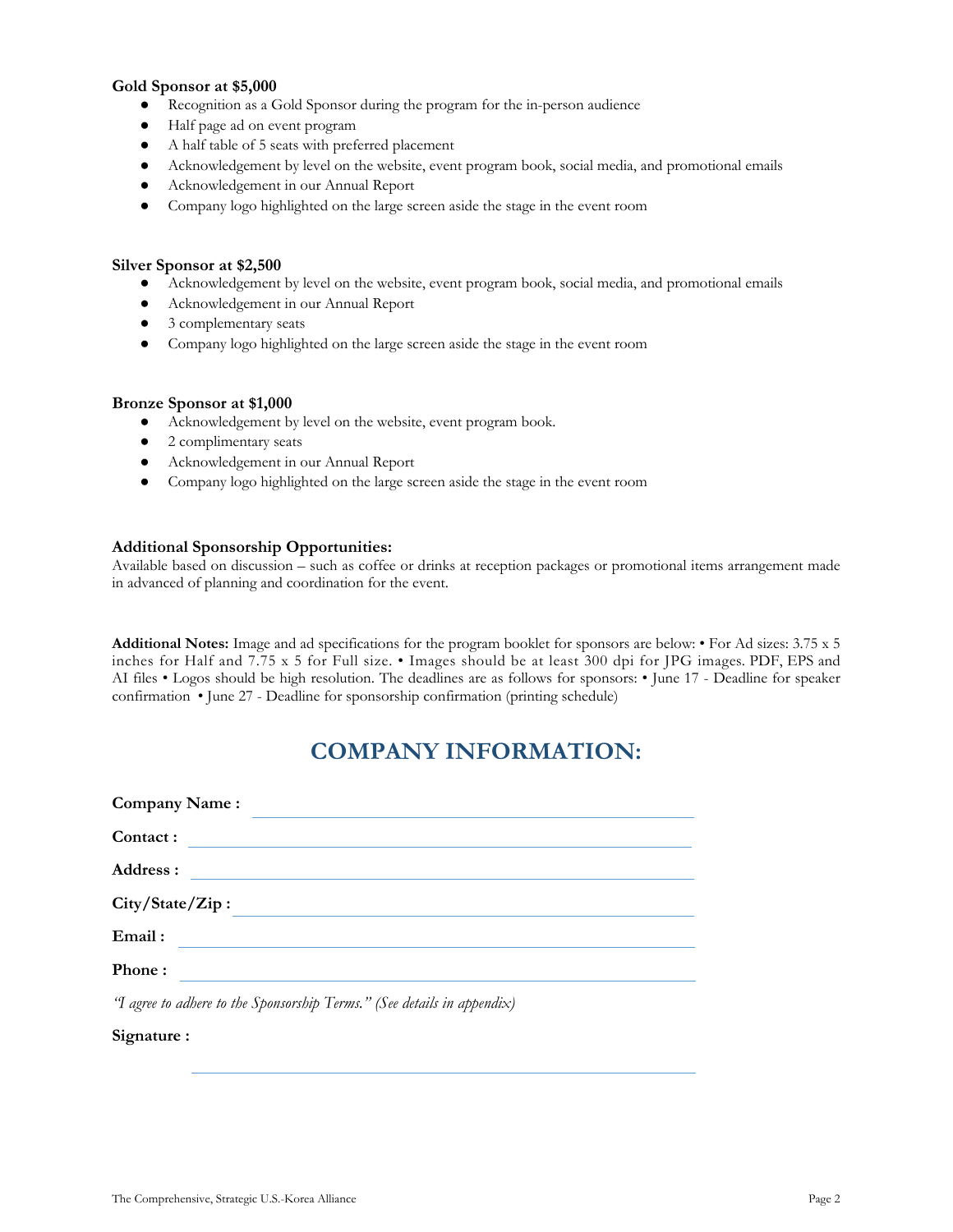#### **Gold Sponsor at \$5,000**

- Recognition as a Gold Sponsor during the program for the in-person audience
- Half page ad on event program
- A half table of 5 seats with preferred placement
- Acknowledgement by level on the website, event program book, social media, and promotional emails
- Acknowledgement in our Annual Report
- Company logo highlighted on the large screen aside the stage in the event room

#### **Silver Sponsor at \$2,500**

- Acknowledgement by level on the website, event program book, social media, and promotional emails
- Acknowledgement in our Annual Report
- 3 complementary seats
- Company logo highlighted on the large screen aside the stage in the event room

#### **Bronze Sponsor at \$1,000**

- Acknowledgement by level on the website, event program book.
- 2 complimentary seats
- Acknowledgement in our Annual Report
- Company logo highlighted on the large screen aside the stage in the event room

#### **Additional Sponsorship Opportunities:**

Available based on discussion – such as coffee or drinks at reception packages or promotional items arrangement made in advanced of planning and coordination for the event.

**Additional Notes:** Image and ad specifications for the program booklet for sponsors are below: • For Ad sizes: 3.75 x 5 inches for Half and 7.75 x 5 for Full size. • Images should be at least 300 dpi for JPG images. PDF, EPS and AI files • Logos should be high resolution. The deadlines are as follows for sponsors: • June 17 - Deadline for speaker confirmation • June 27 - Deadline for sponsorship confirmation (printing schedule)

### **COMPANY INFORMATION:**

| Company Name:   |                                                                         |
|-----------------|-------------------------------------------------------------------------|
| Contact:        |                                                                         |
| Address :       | <u> 1989 - Jan Alexandri, fizikar matematika (h. 1989).</u>             |
| City/State/Zip: |                                                                         |
| Email:          |                                                                         |
| Phone:          |                                                                         |
|                 | 'I agree to adhere to the Sponsorship Terms." (See details in appendix) |

### **Signature :**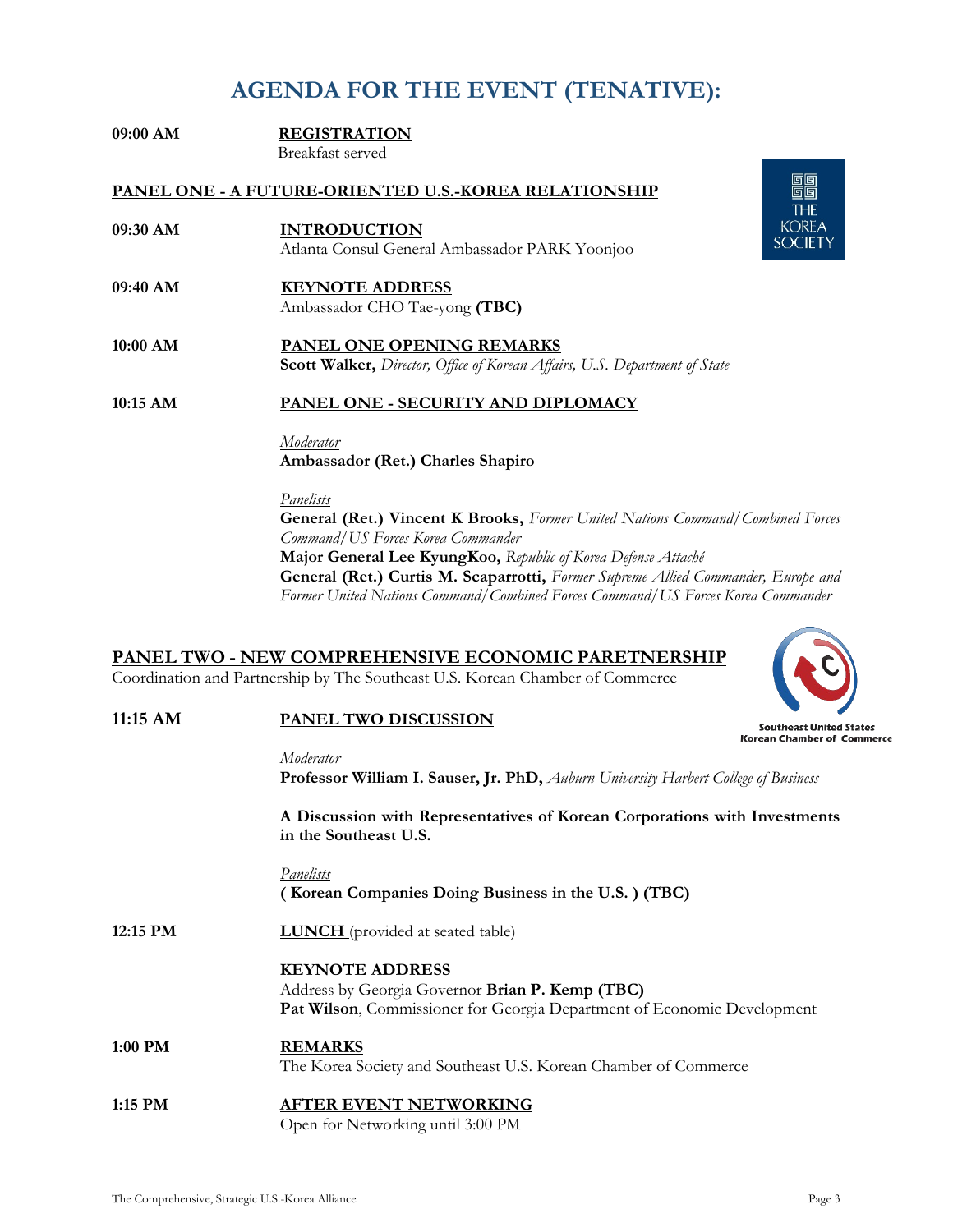### **AGENDA FOR THE EVENT (TENATIVE):**

| $09:00$ AM                                            | <b>REGISTRATION</b>                                                                                                   |  |  |  |
|-------------------------------------------------------|-----------------------------------------------------------------------------------------------------------------------|--|--|--|
|                                                       | Breakfast served                                                                                                      |  |  |  |
| PANEL ONE - A FUTURE-ORIENTED U.S.-KOREA RELATIONSHIP |                                                                                                                       |  |  |  |
| $09:30$ AM                                            | <b>INTRODUCTION</b>                                                                                                   |  |  |  |
|                                                       | Atlanta Consul General Ambassador PARK Yoonjoo                                                                        |  |  |  |
| $09:40$ AM                                            | <b>KEYNOTE ADDRESS</b><br>Ambassador CHO Tae-yong (TBC)                                                               |  |  |  |
| $10:00$ AM                                            | <b>PANEL ONE OPENING REMARKS</b><br><b>Scott Walker, Director, Office of Korean Affairs, U.S. Department of State</b> |  |  |  |
| $10:15$ AM                                            | PANEL ONE - SECURITY AND DIPLOMACY                                                                                    |  |  |  |

*Moderator*

**Ambassador (Ret.) Charles Shapiro**  *Panelists* **General (Ret.) Vincent K Brooks,** *Former United Nations Command/Combined Forces* 

*Command/US Forces Korea Commander* **Major General Lee KyungKoo,** *Republic of Korea Defense Attaché*  **General (Ret.) Curtis M. Scaparrotti,** *Former Supreme Allied Commander, Europe and Former United Nations Command/Combined Forces Command/US Forces Korea Commander* 

|                  | <u> PANEL TWO - NEW COMPREHENSIVE ECONOMIC PARETNERSHIP</u><br>Coordination and Partnership by The Southeast U.S. Korean Chamber of Commerce         |                                                              |
|------------------|------------------------------------------------------------------------------------------------------------------------------------------------------|--------------------------------------------------------------|
| 11:15 AM         | <b>PANEL TWO DISCUSSION</b>                                                                                                                          | <b>Southeast United States</b><br>Korean Chamber of Commerce |
|                  | Moderator<br>Professor William I. Sauser, Jr. PhD, Auburn University Harbert College of Business                                                     |                                                              |
|                  | A Discussion with Representatives of Korean Corporations with Investments<br>in the Southeast U.S.                                                   |                                                              |
|                  | <b>Panelists</b><br>(Korean Companies Doing Business in the U.S.) (TBC)                                                                              |                                                              |
| 12:15 PM         | <b>LUNCH</b> (provided at seated table)                                                                                                              |                                                              |
|                  | <b>KEYNOTE ADDRESS</b><br>Address by Georgia Governor Brian P. Kemp (TBC)<br>Pat Wilson, Commissioner for Georgia Department of Economic Development |                                                              |
| 1:00 PM          | <b>REMARKS</b><br>The Korea Society and Southeast U.S. Korean Chamber of Commerce                                                                    |                                                              |
| 1.1E DA <i>t</i> | A ETED EVENT NETWODKING                                                                                                                              |                                                              |

#### **1:15 PM AFTER EVENT NETWORKING**  Open for Networking until 3:00 PM



驅 **THE KOREA SOCIETY**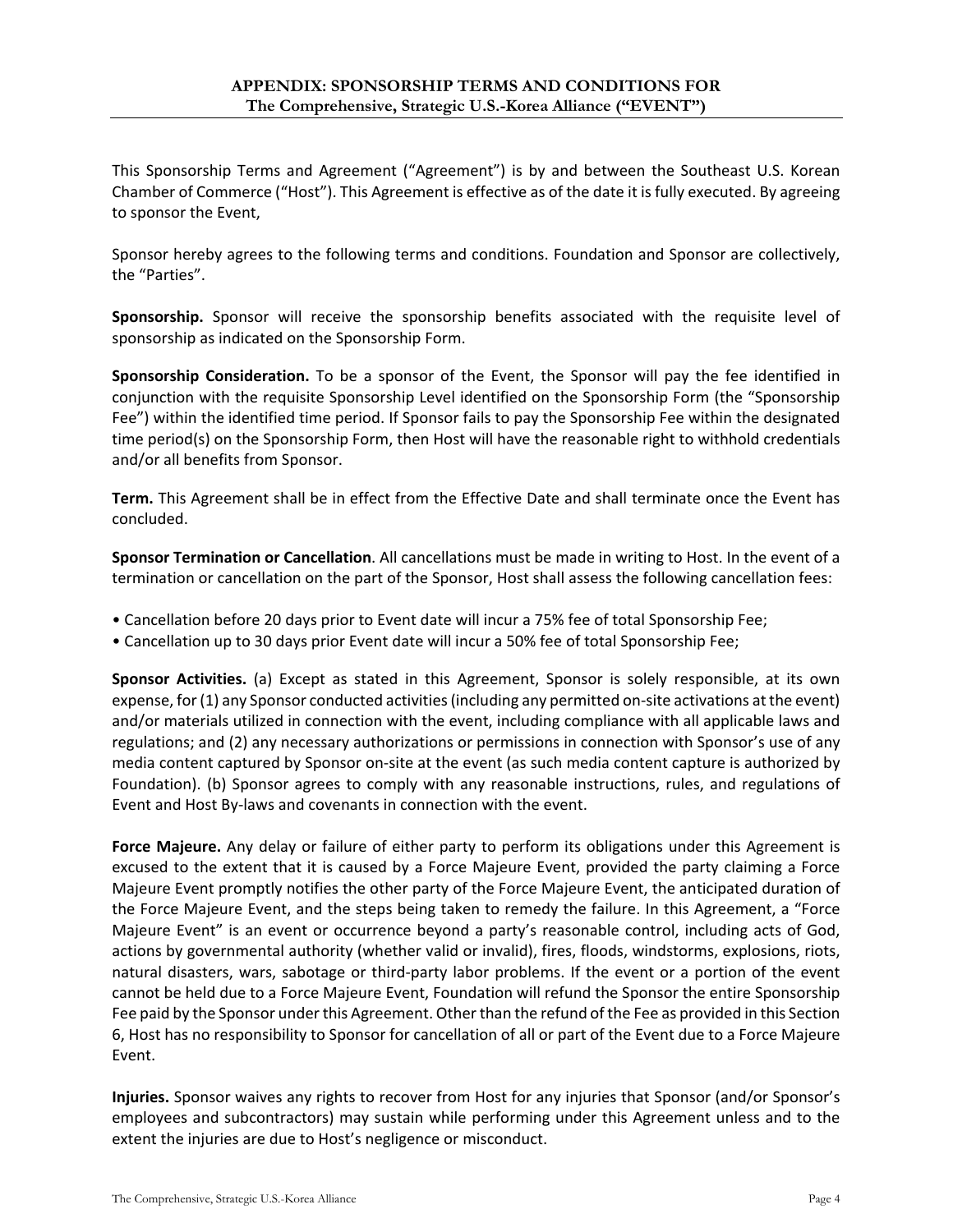This Sponsorship Terms and Agreement ("Agreement") is by and between the Southeast U.S. Korean Chamber of Commerce ("Host"). This Agreement is effective as of the date it is fully executed. By agreeing to sponsor the Event,

Sponsor hereby agrees to the following terms and conditions. Foundation and Sponsor are collectively, the "Parties".

**Sponsorship.** Sponsor will receive the sponsorship benefits associated with the requisite level of sponsorship as indicated on the Sponsorship Form.

**Sponsorship Consideration.** To be a sponsor of the Event, the Sponsor will pay the fee identified in conjunction with the requisite Sponsorship Level identified on the Sponsorship Form (the "Sponsorship Fee") within the identified time period. If Sponsor fails to pay the Sponsorship Fee within the designated time period(s) on the Sponsorship Form, then Host will have the reasonable right to withhold credentials and/or all benefits from Sponsor.

**Term.** This Agreement shall be in effect from the Effective Date and shall terminate once the Event has concluded.

**Sponsor Termination or Cancellation**. All cancellations must be made in writing to Host. In the event of a termination or cancellation on the part of the Sponsor, Host shall assess the following cancellation fees:

- Cancellation before 20 days prior to Event date will incur a 75% fee of total Sponsorship Fee;
- Cancellation up to 30 days prior Event date will incur a 50% fee of total Sponsorship Fee;

**Sponsor Activities.** (a) Except as stated in this Agreement, Sponsor is solely responsible, at its own expense, for (1) any Sponsor conducted activities (including any permitted on-site activations at the event) and/or materials utilized in connection with the event, including compliance with all applicable laws and regulations; and (2) any necessary authorizations or permissions in connection with Sponsor's use of any media content captured by Sponsor on-site at the event (as such media content capture is authorized by Foundation). (b) Sponsor agrees to comply with any reasonable instructions, rules, and regulations of Event and Host By-laws and covenants in connection with the event.

**Force Majeure.** Any delay or failure of either party to perform its obligations under this Agreement is excused to the extent that it is caused by a Force Majeure Event, provided the party claiming a Force Majeure Event promptly notifies the other party of the Force Majeure Event, the anticipated duration of the Force Majeure Event, and the steps being taken to remedy the failure. In this Agreement, a "Force Majeure Event" is an event or occurrence beyond a party's reasonable control, including acts of God, actions by governmental authority (whether valid or invalid), fires, floods, windstorms, explosions, riots, natural disasters, wars, sabotage or third-party labor problems. If the event or a portion of the event cannot be held due to a Force Majeure Event, Foundation will refund the Sponsor the entire Sponsorship Fee paid by the Sponsor under this Agreement. Other than the refund of the Fee as provided in this Section 6, Host has no responsibility to Sponsor for cancellation of all or part of the Event due to a Force Majeure Event.

**Injuries.** Sponsor waives any rights to recover from Host for any injuries that Sponsor (and/or Sponsor's employees and subcontractors) may sustain while performing under this Agreement unless and to the extent the injuries are due to Host's negligence or misconduct.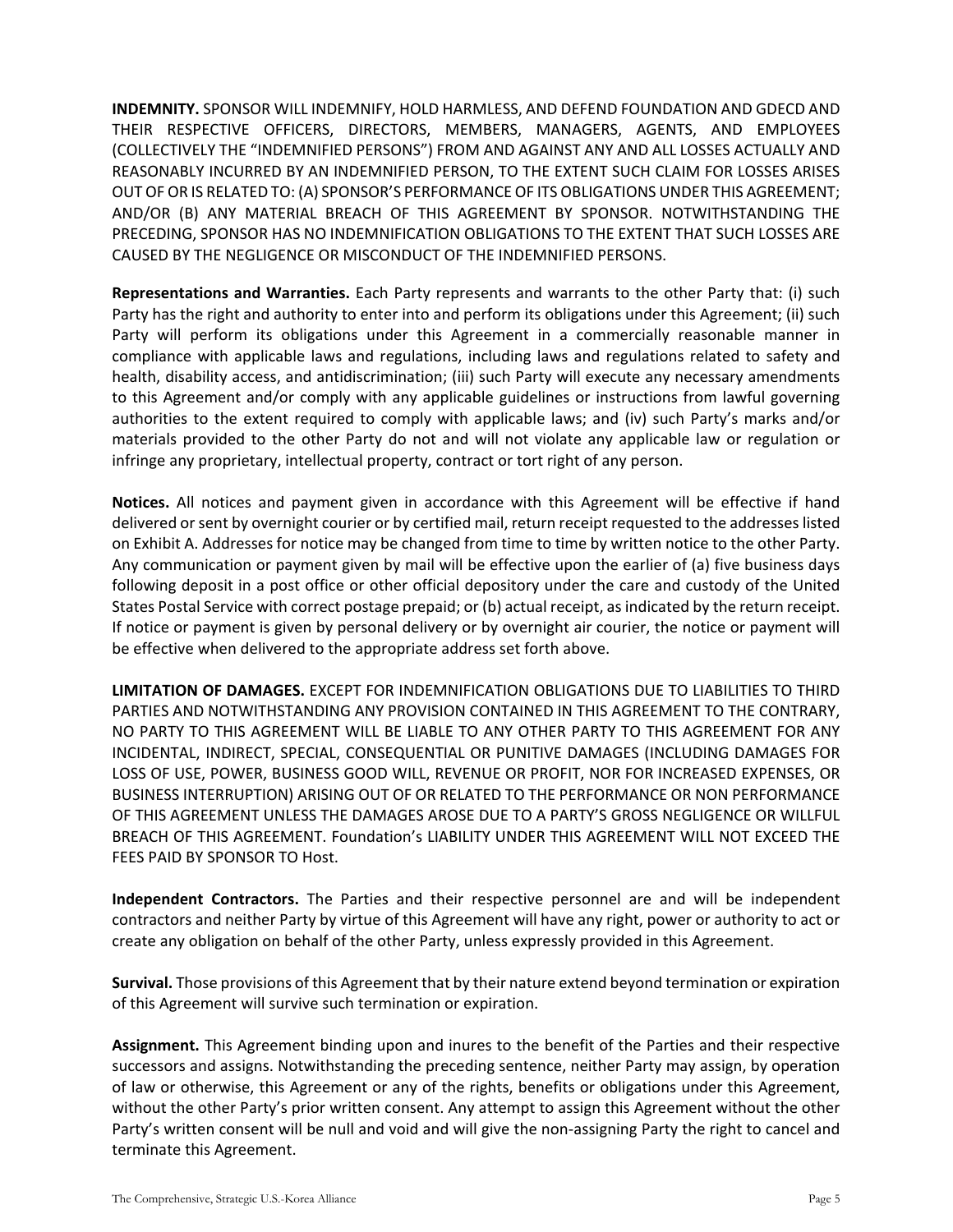**INDEMNITY.** SPONSOR WILL INDEMNIFY, HOLD HARMLESS, AND DEFEND FOUNDATION AND GDECD AND THEIR RESPECTIVE OFFICERS, DIRECTORS, MEMBERS, MANAGERS, AGENTS, AND EMPLOYEES (COLLECTIVELY THE "INDEMNIFIED PERSONS") FROM AND AGAINST ANY AND ALL LOSSES ACTUALLY AND REASONABLY INCURRED BY AN INDEMNIFIED PERSON, TO THE EXTENT SUCH CLAIM FOR LOSSES ARISES OUT OF OR IS RELATED TO: (A) SPONSOR'S PERFORMANCE OF ITS OBLIGATIONS UNDER THIS AGREEMENT; AND/OR (B) ANY MATERIAL BREACH OF THIS AGREEMENT BY SPONSOR. NOTWITHSTANDING THE PRECEDING, SPONSOR HAS NO INDEMNIFICATION OBLIGATIONS TO THE EXTENT THAT SUCH LOSSES ARE CAUSED BY THE NEGLIGENCE OR MISCONDUCT OF THE INDEMNIFIED PERSONS.

**Representations and Warranties.** Each Party represents and warrants to the other Party that: (i) such Party has the right and authority to enter into and perform its obligations under this Agreement; (ii) such Party will perform its obligations under this Agreement in a commercially reasonable manner in compliance with applicable laws and regulations, including laws and regulations related to safety and health, disability access, and antidiscrimination; (iii) such Party will execute any necessary amendments to this Agreement and/or comply with any applicable guidelines or instructions from lawful governing authorities to the extent required to comply with applicable laws; and (iv) such Party's marks and/or materials provided to the other Party do not and will not violate any applicable law or regulation or infringe any proprietary, intellectual property, contract or tort right of any person.

**Notices.** All notices and payment given in accordance with this Agreement will be effective if hand delivered or sent by overnight courier or by certified mail, return receipt requested to the addresses listed on Exhibit A. Addresses for notice may be changed from time to time by written notice to the other Party. Any communication or payment given by mail will be effective upon the earlier of (a) five business days following deposit in a post office or other official depository under the care and custody of the United States Postal Service with correct postage prepaid; or (b) actual receipt, as indicated by the return receipt. If notice or payment is given by personal delivery or by overnight air courier, the notice or payment will be effective when delivered to the appropriate address set forth above.

**LIMITATION OF DAMAGES.** EXCEPT FOR INDEMNIFICATION OBLIGATIONS DUE TO LIABILITIES TO THIRD PARTIES AND NOTWITHSTANDING ANY PROVISION CONTAINED IN THIS AGREEMENT TO THE CONTRARY, NO PARTY TO THIS AGREEMENT WILL BE LIABLE TO ANY OTHER PARTY TO THIS AGREEMENT FOR ANY INCIDENTAL, INDIRECT, SPECIAL, CONSEQUENTIAL OR PUNITIVE DAMAGES (INCLUDING DAMAGES FOR LOSS OF USE, POWER, BUSINESS GOOD WILL, REVENUE OR PROFIT, NOR FOR INCREASED EXPENSES, OR BUSINESS INTERRUPTION) ARISING OUT OF OR RELATED TO THE PERFORMANCE OR NON PERFORMANCE OF THIS AGREEMENT UNLESS THE DAMAGES AROSE DUE TO A PARTY'S GROSS NEGLIGENCE OR WILLFUL BREACH OF THIS AGREEMENT. Foundation's LIABILITY UNDER THIS AGREEMENT WILL NOT EXCEED THE FEES PAID BY SPONSOR TO Host.

**Independent Contractors.** The Parties and their respective personnel are and will be independent contractors and neither Party by virtue of this Agreement will have any right, power or authority to act or create any obligation on behalf of the other Party, unless expressly provided in this Agreement.

**Survival.** Those provisions of this Agreement that by their nature extend beyond termination or expiration of this Agreement will survive such termination or expiration.

**Assignment.** This Agreement binding upon and inures to the benefit of the Parties and their respective successors and assigns. Notwithstanding the preceding sentence, neither Party may assign, by operation of law or otherwise, this Agreement or any of the rights, benefits or obligations under this Agreement, without the other Party's prior written consent. Any attempt to assign this Agreement without the other Party's written consent will be null and void and will give the non-assigning Party the right to cancel and terminate this Agreement.